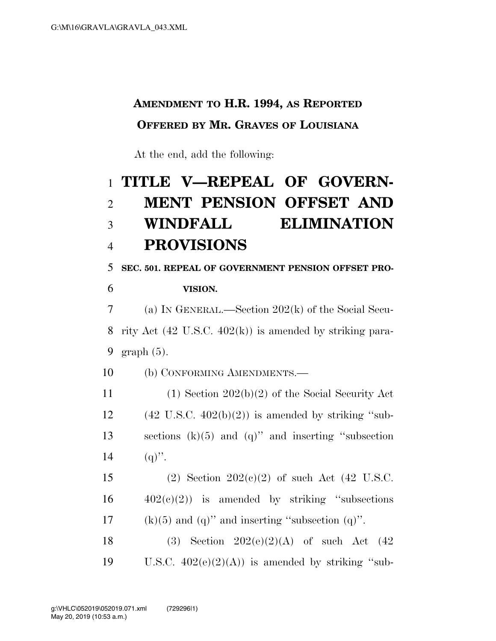## **AMENDMENT TO H.R. 1994, AS REPORTED OFFERED BY MR. GRAVES OF LOUISIANA**

At the end, add the following:

## 1 **TITLE V—REPEAL OF GOVERN-**2 **MENT PENSION OFFSET AND**  3 **WINDFALL ELIMINATION**  4 **PROVISIONS**

5 **SEC. 501. REPEAL OF GOVERNMENT PENSION OFFSET PRO-**6 **VISION.** 

7 (a) IN GENERAL.—Section 202(k) of the Social Secu-8 rity Act (42 U.S.C. 402(k)) is amended by striking para-9 graph (5).

10 (b) CONFORMING AMENDMENTS.—

11 (1) Section 202(b)(2) of the Social Security Act  $12 \qquad (42 \text{ U.S.C. } 402(b)(2))$  is amended by striking "sub-13 sections (k)(5) and (q)'' and inserting ''subsection 14 (q)".

15 (2) Section 202(c)(2) of such Act (42 U.S.C.  $16 \qquad \qquad 402(c)(2)$  is amended by striking "subsections" 17 (k)(5) and (q)" and inserting "subsection (q)".

18 (3) Section  $202(e)(2)(A)$  of such Act  $(42)$ 19 U.S.C.  $402(e)(2)(A)$  is amended by striking "sub-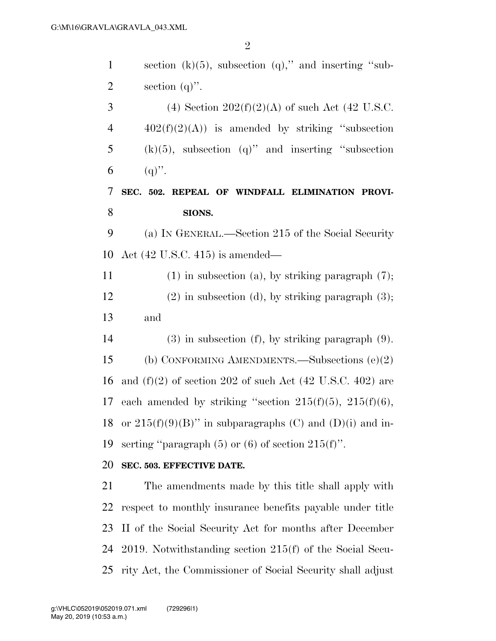| $\mathbf{1}$   | section $(k)(5)$ , subsection $(q)$ ," and inserting "sub-             |
|----------------|------------------------------------------------------------------------|
| $\overline{2}$ | section $(q)$ ".                                                       |
| 3              | (4) Section $202(f)(2)(A)$ of such Act (42 U.S.C.                      |
| $\overline{4}$ | $402(f)(2)(A)$ is amended by striking "subsection"                     |
| 5              | $(k)(5)$ , subsection $(q)$ " and inserting "subsection                |
| 6              | $(q)$ .                                                                |
| 7              | SEC. 502. REPEAL OF WINDFALL ELIMINATION PROVI-                        |
| 8              | SIONS.                                                                 |
| 9              | (a) IN GENERAL.—Section 215 of the Social Security                     |
| 10             | Act $(42 \text{ U.S.C. } 415)$ is amended—                             |
| 11             | $(1)$ in subsection $(a)$ , by striking paragraph $(7)$ ;              |
| 12             | $(2)$ in subsection (d), by striking paragraph $(3)$ ;                 |
| 13             | and                                                                    |
| 14             | $(3)$ in subsection $(f)$ , by striking paragraph $(9)$ .              |
| 15             | (b) CONFORMING AMENDMENTS.—Subsections $(e)(2)$                        |
| 16             | and $(f)(2)$ of section 202 of such Act $(42 \text{ U.S.C. } 402)$ are |
| 17             | each amended by striking "section $215(f)(5)$ , $215(f)(6)$ ,          |
| 18             | or $215(f)(9)(B)$ " in subparagraphs (C) and (D)(i) and in-            |
| 19             | serting "paragraph $(5)$ or $(6)$ of section $215(f)$ ".               |
| 20             | SEC. 503. EFFECTIVE DATE.                                              |
| 21             | The amendments made by this title shall apply with                     |
| 22             | respect to monthly insurance benefits payable under title              |
| 23             | II of the Social Security Act for months after December                |
| 24             | 2019. Notwithstanding section $215(f)$ of the Social Secu-             |
| 25             | rity Act, the Commissioner of Social Security shall adjust             |